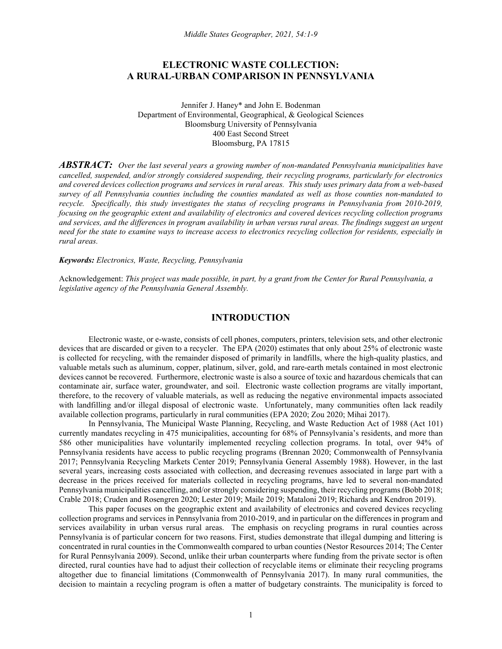## **ELECTRONIC WASTE COLLECTION: A RURAL-URBAN COMPARISON IN PENNSYLVANIA**

Jennifer J. Haney\* and John E. Bodenman Department of Environmental, Geographical, & Geological Sciences Bloomsburg University of Pennsylvania 400 East Second Street Bloomsburg, PA 17815

*ABSTRACT: Over the last several years a growing number of non-mandated Pennsylvania municipalities have cancelled, suspended, and/or strongly considered suspending, their recycling programs, particularly for electronics and covered devices collection programs and services in rural areas. This study uses primary data from a web-based survey of all Pennsylvania counties including the counties mandated as well as those counties non-mandated to recycle. Specifically, this study investigates the status of recycling programs in Pennsylvania from 2010-2019, focusing on the geographic extent and availability of electronics and covered devices recycling collection programs and services, and the differences in program availability in urban versus rural areas. The findings suggest an urgent need for the state to examine ways to increase access to electronics recycling collection for residents, especially in rural areas.* 

*Keywords: Electronics, Waste, Recycling, Pennsylvania*

Acknowledgement: *This project was made possible, in part, by a grant from the Center for Rural Pennsylvania, a legislative agency of the Pennsylvania General Assembly.* 

#### **INTRODUCTION**

Electronic waste, or e-waste, consists of cell phones, computers, printers, television sets, and other electronic devices that are discarded or given to a recycler. The EPA (2020) estimates that only about 25% of electronic waste is collected for recycling, with the remainder disposed of primarily in landfills, where the high-quality plastics, and valuable metals such as aluminum, copper, platinum, silver, gold, and rare-earth metals contained in most electronic devices cannot be recovered. Furthermore, electronic waste is also a source of toxic and hazardous chemicals that can contaminate air, surface water, groundwater, and soil. Electronic waste collection programs are vitally important, therefore, to the recovery of valuable materials, as well as reducing the negative environmental impacts associated with landfilling and/or illegal disposal of electronic waste. Unfortunately, many communities often lack readily available collection programs, particularly in rural communities (EPA 2020; Zou 2020; Mihai 2017).

In Pennsylvania, The Municipal Waste Planning, Recycling, and Waste Reduction Act of 1988 (Act 101) currently mandates recycling in 475 municipalities, accounting for 68% of Pennsylvania's residents, and more than 586 other municipalities have voluntarily implemented recycling collection programs. In total, over 94% of Pennsylvania residents have access to public recycling programs (Brennan 2020; Commonwealth of Pennsylvania 2017; Pennsylvania Recycling Markets Center 2019; Pennsylvania General Assembly 1988). However, in the last several years, increasing costs associated with collection, and decreasing revenues associated in large part with a decrease in the prices received for materials collected in recycling programs, have led to several non-mandated Pennsylvania municipalities cancelling, and/or strongly considering suspending, their recycling programs (Bobb 2018; Crable 2018; Cruden and Rosengren 2020; Lester 2019; Maile 2019; Mataloni 2019; Richards and Kendron 2019).

This paper focuses on the geographic extent and availability of electronics and covered devices recycling collection programs and services in Pennsylvania from 2010-2019, and in particular on the differences in program and services availability in urban versus rural areas. The emphasis on recycling programs in rural counties across Pennsylvania is of particular concern for two reasons. First, studies demonstrate that illegal dumping and littering is concentrated in rural counties in the Commonwealth compared to urban counties (Nestor Resources 2014; The Center for Rural Pennsylvania 2009). Second, unlike their urban counterparts where funding from the private sector is often directed, rural counties have had to adjust their collection of recyclable items or eliminate their recycling programs altogether due to financial limitations (Commonwealth of Pennsylvania 2017). In many rural communities, the decision to maintain a recycling program is often a matter of budgetary constraints. The municipality is forced to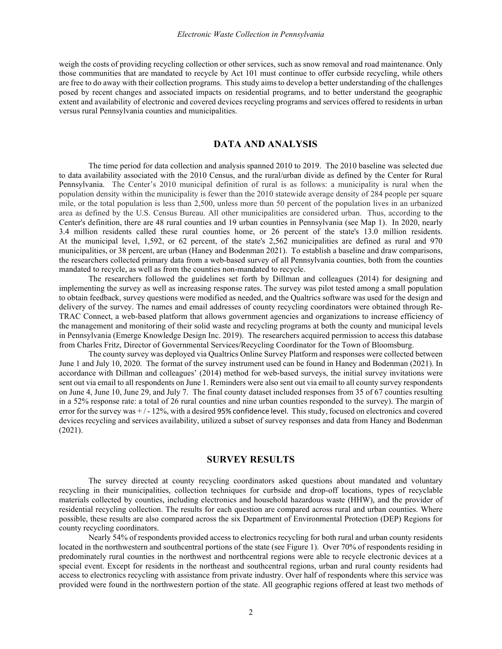weigh the costs of providing recycling collection or other services, such as snow removal and road maintenance. Only those communities that are mandated to recycle by Act 101 must continue to offer curbside recycling, while others are free to do away with their collection programs. This study aims to develop a better understanding of the challenges posed by recent changes and associated impacts on residential programs, and to better understand the geographic extent and availability of electronic and covered devices recycling programs and services offered to residents in urban versus rural Pennsylvania counties and municipalities.

## **DATA AND ANALYSIS**

 The time period for data collection and analysis spanned 2010 to 2019. The 2010 baseline was selected due to data availability associated with the 2010 Census, and the rural/urban divide as defined by the Center for Rural Pennsylvania. The Center's 2010 municipal definition of rural is as follows: a municipality is rural when the population density within the municipality is fewer than the 2010 statewide average density of 284 people per square mile, or the total population is less than 2,500, unless more than 50 percent of the population lives in an urbanized area as defined by the U.S. Census Bureau. All other municipalities are considered urban. Thus, according to the Center's definition, there are 48 rural counties and 19 urban counties in Pennsylvania (see Map 1). In 2020, nearly 3.4 million residents called these rural counties home, or 26 percent of the state's 13.0 million residents. At the municipal level, 1,592, or 62 percent, of the state's 2,562 municipalities are defined as rural and 970 municipalities, or 38 percent, are urban (Haney and Bodenman 2021). To establish a baseline and draw comparisons, the researchers collected primary data from a web-based survey of all Pennsylvania counties, both from the counties mandated to recycle, as well as from the counties non-mandated to recycle.

The researchers followed the guidelines set forth by Dillman and colleagues (2014) for designing and implementing the survey as well as increasing response rates. The survey was pilot tested among a small population to obtain feedback, survey questions were modified as needed, and the Qualtrics software was used for the design and delivery of the survey. The names and email addresses of county recycling coordinators were obtained through Re-TRAC Connect, a web-based platform that allows government agencies and organizations to increase efficiency of the management and monitoring of their solid waste and recycling programs at both the county and municipal levels in Pennsylvania (Emerge Knowledge Design Inc. 2019). The researchers acquired permission to access this database from Charles Fritz, Director of Governmental Services/Recycling Coordinator for the Town of Bloomsburg.

The county survey was deployed via Qualtrics Online Survey Platform and responses were collected between June 1 and July 10, 2020. The format of the survey instrument used can be found in Haney and Bodenman (2021). In accordance with Dillman and colleagues' (2014) method for web-based surveys, the initial survey invitations were sent out via email to all respondents on June 1. Reminders were also sent out via email to all county survey respondents on June 4, June 10, June 29, and July 7. The final county dataset included responses from 35 of 67 counties resulting in a 52% response rate: a total of 26 rural counties and nine urban counties responded to the survey). The margin of error for the survey was  $+/-12$ %, with a desired 95% confidence level. This study, focused on electronics and covered devices recycling and services availability, utilized a subset of survey responses and data from Haney and Bodenman (2021).

## **SURVEY RESULTS**

The survey directed at county recycling coordinators asked questions about mandated and voluntary recycling in their municipalities, collection techniques for curbside and drop-off locations, types of recyclable materials collected by counties, including electronics and household hazardous waste (HHW), and the provider of residential recycling collection. The results for each question are compared across rural and urban counties. Where possible, these results are also compared across the six Department of Environmental Protection (DEP) Regions for county recycling coordinators.

Nearly 54% of respondents provided access to electronics recycling for both rural and urban county residents located in the northwestern and southcentral portions of the state (see Figure 1). Over 70% of respondents residing in predominately rural counties in the northwest and northcentral regions were able to recycle electronic devices at a special event. Except for residents in the northeast and southcentral regions, urban and rural county residents had access to electronics recycling with assistance from private industry. Over half of respondents where this service was provided were found in the northwestern portion of the state. All geographic regions offered at least two methods of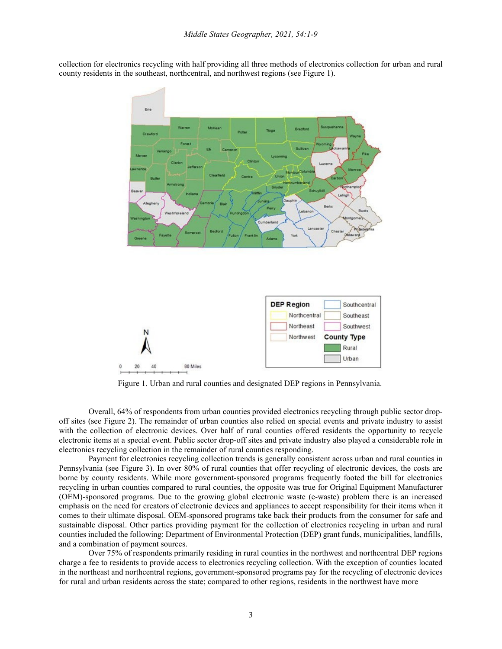collection for electronics recycling with half providing all three methods of electronics collection for urban and rural county residents in the southeast, northcentral, and northwest regions (see Figure 1).



Figure 1. Urban and rural counties and designated DEP regions in Pennsylvania.

Overall, 64% of respondents from urban counties provided electronics recycling through public sector dropoff sites (see Figure 2). The remainder of urban counties also relied on special events and private industry to assist with the collection of electronic devices. Over half of rural counties offered residents the opportunity to recycle electronic items at a special event. Public sector drop-off sites and private industry also played a considerable role in electronics recycling collection in the remainder of rural counties responding.

Payment for electronics recycling collection trends is generally consistent across urban and rural counties in Pennsylvania (see Figure 3). In over 80% of rural counties that offer recycling of electronic devices, the costs are borne by county residents. While more government-sponsored programs frequently footed the bill for electronics recycling in urban counties compared to rural counties, the opposite was true for Original Equipment Manufacturer (OEM)-sponsored programs. Due to the growing global electronic waste (e-waste) problem there is an increased emphasis on the need for creators of electronic devices and appliances to accept responsibility for their items when it comes to their ultimate disposal. OEM-sponsored programs take back their products from the consumer for safe and sustainable disposal. Other parties providing payment for the collection of electronics recycling in urban and rural counties included the following: Department of Environmental Protection (DEP) grant funds, municipalities, landfills, and a combination of payment sources.

Over 75% of respondents primarily residing in rural counties in the northwest and northcentral DEP regions charge a fee to residents to provide access to electronics recycling collection. With the exception of counties located in the northeast and northcentral regions, government-sponsored programs pay for the recycling of electronic devices for rural and urban residents across the state; compared to other regions, residents in the northwest have more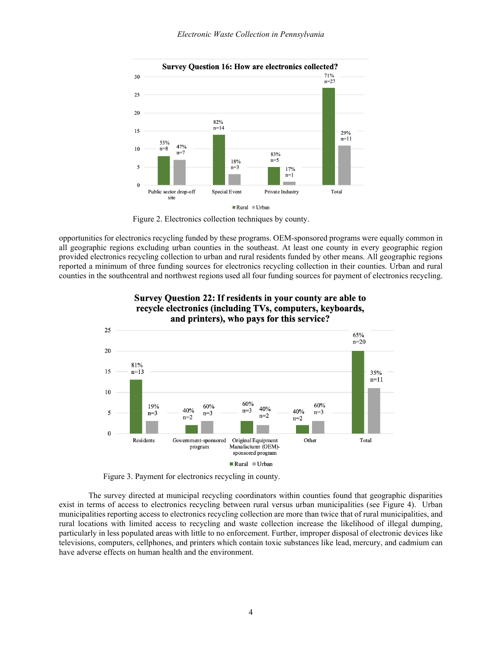

Figure 2. Electronics collection techniques by county.

opportunities for electronics recycling funded by these programs. OEM-sponsored programs were equally common in all geographic regions excluding urban counties in the southeast. At least one county in every geographic region provided electronics recycling collection to urban and rural residents funded by other means. All geographic regions reported a minimum of three funding sources for electronics recycling collection in their counties. Urban and rural counties in the southcentral and northwest regions used all four funding sources for payment of electronics recycling.



#### Survey Question 22: If residents in your county are able to recycle electronics (including TVs, computers, keyboards, and printers), who pays for this service?

Figure 3. Payment for electronics recycling in county.

The survey directed at municipal recycling coordinators within counties found that geographic disparities exist in terms of access to electronics recycling between rural versus urban municipalities (see Figure 4). Urban municipalities reporting access to electronics recycling collection are more than twice that of rural municipalities, and rural locations with limited access to recycling and waste collection increase the likelihood of illegal dumping, particularly in less populated areas with little to no enforcement. Further, improper disposal of electronic devices like televisions, computers, cellphones, and printers which contain toxic substances like lead, mercury, and cadmium can have adverse effects on human health and the environment.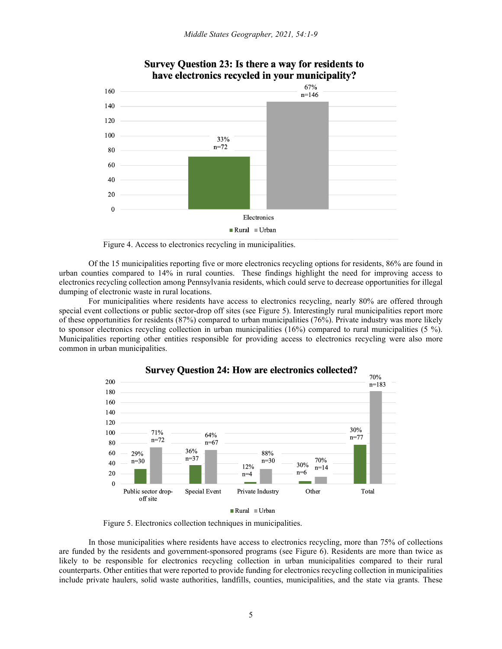

# Survey Question 23: Is there a way for residents to have electronics recycled in your municipality?



Of the 15 municipalities reporting five or more electronics recycling options for residents, 86% are found in urban counties compared to 14% in rural counties. These findings highlight the need for improving access to electronics recycling collection among Pennsylvania residents, which could serve to decrease opportunities for illegal dumping of electronic waste in rural locations.

For municipalities where residents have access to electronics recycling, nearly 80% are offered through special event collections or public sector-drop off sites (see Figure 5). Interestingly rural municipalities report more of these opportunities for residents (87%) compared to urban municipalities (76%). Private industry was more likely to sponsor electronics recycling collection in urban municipalities (16%) compared to rural municipalities (5 %). Municipalities reporting other entities responsible for providing access to electronics recycling were also more common in urban municipalities.



Figure 5. Electronics collection techniques in municipalities.

In those municipalities where residents have access to electronics recycling, more than 75% of collections are funded by the residents and government-sponsored programs (see Figure 6). Residents are more than twice as likely to be responsible for electronics recycling collection in urban municipalities compared to their rural counterparts. Other entities that were reported to provide funding for electronics recycling collection in municipalities include private haulers, solid waste authorities, landfills, counties, municipalities, and the state via grants. These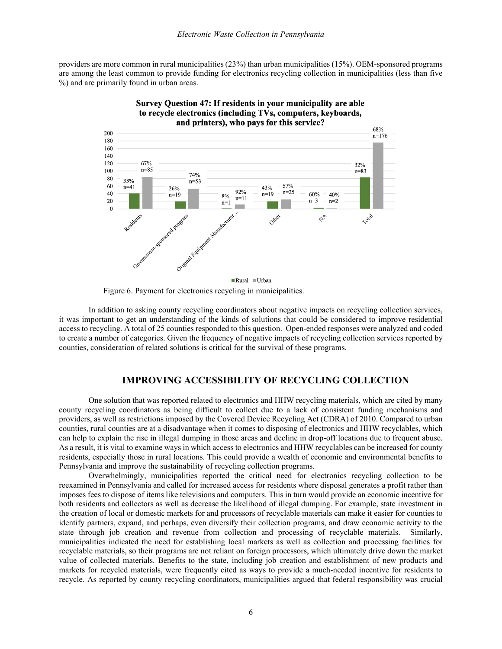providers are more common in rural municipalities (23%) than urban municipalities (15%). OEM-sponsored programs are among the least common to provide funding for electronics recycling collection in municipalities (less than five %) and are primarily found in urban areas.



# Survey Question 47: If residents in your municipality are able to recycle electronics (including TVs, computers, keyboards,

Figure 6. Payment for electronics recycling in municipalities.

In addition to asking county recycling coordinators about negative impacts on recycling collection services, it was important to get an understanding of the kinds of solutions that could be considered to improve residential access to recycling. A total of 25 counties responded to this question. Open-ended responses were analyzed and coded to create a number of categories. Given the frequency of negative impacts of recycling collection services reported by counties, consideration of related solutions is critical for the survival of these programs.

## **IMPROVING ACCESSIBILITY OF RECYCLING COLLECTION**

One solution that was reported related to electronics and HHW recycling materials, which are cited by many county recycling coordinators as being difficult to collect due to a lack of consistent funding mechanisms and providers, as well as restrictions imposed by the Covered Device Recycling Act (CDRA) of 2010. Compared to urban counties, rural counties are at a disadvantage when it comes to disposing of electronics and HHW recyclables, which can help to explain the rise in illegal dumping in those areas and decline in drop-off locations due to frequent abuse. As a result, it is vital to examine ways in which access to electronics and HHW recyclables can be increased for county residents, especially those in rural locations. This could provide a wealth of economic and environmental benefits to Pennsylvania and improve the sustainability of recycling collection programs.

Overwhelmingly, municipalities reported the critical need for electronics recycling collection to be reexamined in Pennsylvania and called for increased access for residents where disposal generates a profit rather than imposes fees to dispose of items like televisions and computers. This in turn would provide an economic incentive for both residents and collectors as well as decrease the likelihood of illegal dumping. For example, state investment in the creation of local or domestic markets for and processors of recyclable materials can make it easier for counties to identify partners, expand, and perhaps, even diversify their collection programs, and draw economic activity to the state through job creation and revenue from collection and processing of recyclable materials. Similarly, municipalities indicated the need for establishing local markets as well as collection and processing facilities for recyclable materials, so their programs are not reliant on foreign processors, which ultimately drive down the market value of collected materials. Benefits to the state, including job creation and establishment of new products and markets for recycled materials, were frequently cited as ways to provide a much-needed incentive for residents to recycle. As reported by county recycling coordinators, municipalities argued that federal responsibility was crucial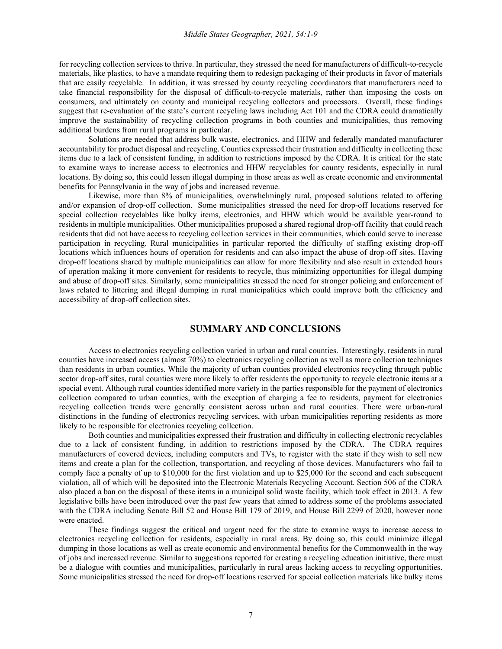for recycling collection services to thrive. In particular, they stressed the need for manufacturers of difficult-to-recycle materials, like plastics, to have a mandate requiring them to redesign packaging of their products in favor of materials that are easily recyclable. In addition, it was stressed by county recycling coordinators that manufacturers need to take financial responsibility for the disposal of difficult-to-recycle materials, rather than imposing the costs on consumers, and ultimately on county and municipal recycling collectors and processors. Overall, these findings suggest that re-evaluation of the state's current recycling laws including Act 101 and the CDRA could dramatically improve the sustainability of recycling collection programs in both counties and municipalities, thus removing additional burdens from rural programs in particular.

Solutions are needed that address bulk waste, electronics, and HHW and federally mandated manufacturer accountability for product disposal and recycling. Counties expressed their frustration and difficulty in collecting these items due to a lack of consistent funding, in addition to restrictions imposed by the CDRA. It is critical for the state to examine ways to increase access to electronics and HHW recyclables for county residents, especially in rural locations. By doing so, this could lessen illegal dumping in those areas as well as create economic and environmental benefits for Pennsylvania in the way of jobs and increased revenue.

Likewise, more than 8% of municipalities, overwhelmingly rural, proposed solutions related to offering and/or expansion of drop-off collection. Some municipalities stressed the need for drop-off locations reserved for special collection recyclables like bulky items, electronics, and HHW which would be available year-round to residents in multiple municipalities. Other municipalities proposed a shared regional drop-off facility that could reach residents that did not have access to recycling collection services in their communities, which could serve to increase participation in recycling. Rural municipalities in particular reported the difficulty of staffing existing drop-off locations which influences hours of operation for residents and can also impact the abuse of drop-off sites. Having drop-off locations shared by multiple municipalities can allow for more flexibility and also result in extended hours of operation making it more convenient for residents to recycle, thus minimizing opportunities for illegal dumping and abuse of drop-off sites. Similarly, some municipalities stressed the need for stronger policing and enforcement of laws related to littering and illegal dumping in rural municipalities which could improve both the efficiency and accessibility of drop-off collection sites.

## **SUMMARY AND CONCLUSIONS**

Access to electronics recycling collection varied in urban and rural counties. Interestingly, residents in rural counties have increased access (almost 70%) to electronics recycling collection as well as more collection techniques than residents in urban counties. While the majority of urban counties provided electronics recycling through public sector drop-off sites, rural counties were more likely to offer residents the opportunity to recycle electronic items at a special event. Although rural counties identified more variety in the parties responsible for the payment of electronics collection compared to urban counties, with the exception of charging a fee to residents, payment for electronics recycling collection trends were generally consistent across urban and rural counties. There were urban-rural distinctions in the funding of electronics recycling services, with urban municipalities reporting residents as more likely to be responsible for electronics recycling collection.

Both counties and municipalities expressed their frustration and difficulty in collecting electronic recyclables due to a lack of consistent funding, in addition to restrictions imposed by the CDRA. The CDRA requires manufacturers of covered devices, including computers and TVs, to register with the state if they wish to sell new items and create a plan for the collection, transportation, and recycling of those devices. Manufacturers who fail to comply face a penalty of up to \$10,000 for the first violation and up to \$25,000 for the second and each subsequent violation, all of which will be deposited into the Electronic Materials Recycling Account. Section 506 of the CDRA also placed a ban on the disposal of these items in a municipal solid waste facility, which took effect in 2013. A few legislative bills have been introduced over the past few years that aimed to address some of the problems associated with the CDRA including Senate Bill 52 and House Bill 179 of 2019, and House Bill 2299 of 2020, however none were enacted.

These findings suggest the critical and urgent need for the state to examine ways to increase access to electronics recycling collection for residents, especially in rural areas. By doing so, this could minimize illegal dumping in those locations as well as create economic and environmental benefits for the Commonwealth in the way of jobs and increased revenue. Similar to suggestions reported for creating a recycling education initiative, there must be a dialogue with counties and municipalities, particularly in rural areas lacking access to recycling opportunities. Some municipalities stressed the need for drop-off locations reserved for special collection materials like bulky items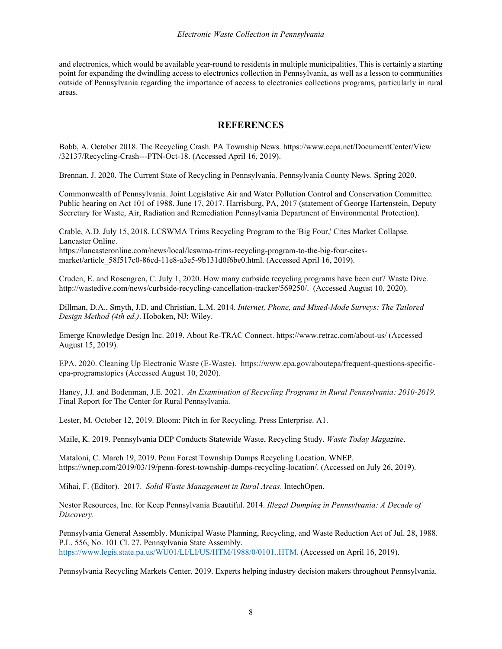and electronics, which would be available year-round to residents in multiple municipalities. This is certainly a starting point for expanding the dwindling access to electronics collection in Pennsylvania, as well as a lesson to communities outside of Pennsylvania regarding the importance of access to electronics collections programs, particularly in rural areas.

# **REFERENCES**

Bobb, A. October 2018. The Recycling Crash. PA Township News. <https://www.ccpa.net/DocumentCenter/View> /32137/Recycling-Crash---PTN-Oct-18. (Accessed April 16, 2019).

Brennan, J. 2020. The Current State of Recycling in Pennsylvania. Pennsylvania County News. Spring 2020.

Commonwealth of Pennsylvania. Joint Legislative Air and Water Pollution Control and Conservation Committee. Public hearing on Act 101 of 1988. June 17, 2017. Harrisburg, PA, 2017 (statement of George Hartenstein, Deputy Secretary for Waste, Air, Radiation and Remediation Pennsylvania Department of Environmental Protection).

Crable, A.D. July 15, 2018. LCSWMA Trims Recycling Program to the 'Big Four,' Cites Market Collapse. Lancaster Online. https://lancasteronline.com/news/local/lcswma-trims-recycling-program-to-the-big-four-cites-

market/article\_58f517c0-86cd-11e8-a3e5-9b131d0f6be0.html. (Accessed April 16, 2019).

Cruden, E. and Rosengren, C. July 1, 2020. How many curbside recycling programs have been cut? Waste Dive. http://wastedive.com/news/curbside-recycling-cancellation-tracker/569250/. (Accessed August 10, 2020).

Dillman, D.A., Smyth, J.D. and Christian, L.M. 2014. *Internet, Phone, and Mixed-Mode Surveys: The Tailored Design Method (4th ed.)*. Hoboken, NJ: Wiley.

Emerge Knowledge Design Inc. 2019. About Re-TRAC Connect. https://www.retrac.com/about-us/ (Accessed August 15, 2019).

EPA. 2020. Cleaning Up Electronic Waste (E-Waste). https://www.epa.gov/aboutepa/frequent-questions-specificepa-programstopics (Accessed August 10, 2020).

Haney, J.J. and Bodenman, J.E. 2021. *An Examination of Recycling Programs in Rural Pennsylvania: 2010-2019.* Final Report for The Center for Rural Pennsylvania.

Lester, M. October 12, 2019. Bloom: Pitch in for Recycling. Press Enterprise. A1.

Maile, K. 2019. Pennsylvania DEP Conducts Statewide Waste, Recycling Study. *Waste Today Magazine*.

Mataloni, C. March 19, 2019. Penn Forest Township Dumps Recycling Location. WNEP. https://wnep.com/2019/03/19/penn-forest-township-dumps-recycling-location/. (Accessed on July 26, 2019).

Mihai, F. (Editor). 2017. *Solid Waste Management in Rural Areas*. IntechOpen.

Nestor Resources, Inc. for Keep Pennsylvania Beautiful. 2014. *Illegal Dumping in Pennsylvania: A Decade of Discovery.*

Pennsylvania General Assembly. Municipal Waste Planning, Recycling, and Waste Reduction Act of Jul. 28, 1988. P.L. 556, No. 101 Cl. 27. Pennsylvania State Assembly. https://www.legis.state.pa.us/WU01/LI/LI/US/HTM/1988/0/0101..HTM. (Accessed on April 16, 2019).

Pennsylvania Recycling Markets Center. 2019. Experts helping industry decision makers throughout Pennsylvania.